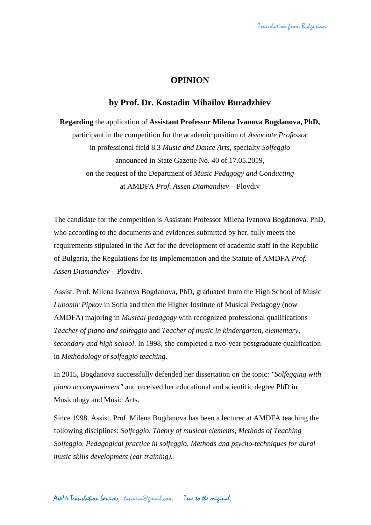## **OPINION**

## **by Prof. Dr. Kostadin Mihailov Buradzhiev**

**Regarding** the application of **Assistant Professor Milena Ivanova Bogdanova, PhD,** participant in the competition for the academic position of *Associate Professor*  in professional field 8.3 *Music and Dance Arts,* specialty *Solfeggio* announced in State Gazette No. 40 of 17.05.2019, on the request of the Department of *Music Pedagogy and Conducting* at AMDFA *Prof. Assen Diamandiev* – Plovdiv

The candidate for the competition is Assistant Professor Milena Ivanova Bogdanova, PhD, who according to the documents and evidences submitted by her, fully meets the requirements stipulated in the Act for the development of academic staff in the Republic of Bulgaria, the Regulations for its implementation and the Statute of AMDFA *Prof. Assen Diamandiev* – Plovdiv.

Assist. Prof. Milena Ivanova Bogdanova, PhD, graduated from the High School of Music *Lubomir Pipkov* in Sofia and then the Higher Institute of Musical Pedagogy (now AMDFA) majoring in *Musical pedagogy* with recognized professional qualifications *Teacher of piano and solfeggio* and *Teacher of music in kindergarten, elementary, secondary and high school*. In 1998, she completed a two-year postgraduate qualification in *Methodology of solfeggio teaching.* 

In 2015, Bogdanova successfully defended her dissertation on the topic: *"Solfegging with piano accompaniment"* and received her educational and scientific degree PhD in Musicology and Music Arts.

Since 1998. Assist. Prof. Milena Bogdanova has been a lecturer at AMDFA teaching the following disciplines: *Solfeggio, Theory of musical elements, Methods of Teaching Solfeggio, Pedagogical practice in solfeggio*, *Methods and psycho-techniques for aural music skills development (ear training)*.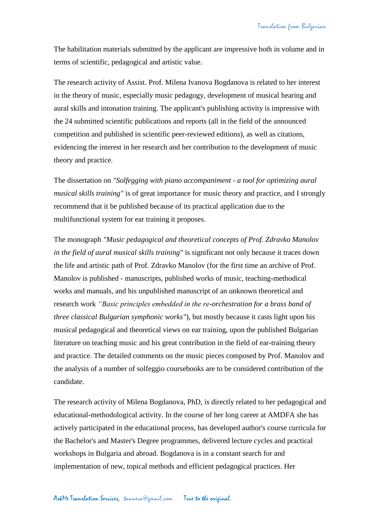The habilitation materials submitted by the applicant are impressive both in volume and in terms of scientific, pedagogical and artistic value.

The research activity of Assist. Prof. Milena Ivanova Bogdanova is related to her interest in the theory of music, especially music pedagogy, development of musical hearing and aural skills and intonation training. The applicant's publishing activity is impressive with the 24 submitted scientific publications and reports (all in the field of the announced competition and published in scientific peer-reviewed editions), as well as citations, evidencing the interest in her research and her contribution to the development of music theory and practice.

The dissertation on *"Solfegging with piano accompaniment - a tool for optimizing aural musical skills training"* is of great importance for music theory and practice, and I strongly recommend that it be published because of its practical application due to the multifunctional system for ear training it proposes.

The monograph *"Music pedagogical and theoretical concepts of Prof. Zdravko Manolov in the field of aural musical skills training"* is significant not only because it traces down the life and artistic path of Prof. Zdravko Manolov (for the first time an archive of Prof. Manolov is published - manuscripts, published works of music, teaching-methodical works and manuals, and his unpublished manuscript of an unknown theoretical and research work *"Basic principles embedded in the re-orchestration for a brass band of three classical Bulgarian symphonic works"*), but mostly because it casts light upon his musical pedagogical and theoretical views on ear training, upon the published Bulgarian literature on teaching music and his great contribution in the field of ear-training theory and practice. The detailed comments on the music pieces composed by Prof. Manolov and the analysis of a number of solfeggio coursebooks are to be considered contribution of the candidate.

The research activity of Milena Bogdanova, PhD, is directly related to her pedagogical and educational-methodological activity. In the course of her long career at AMDFA she has actively participated in the educational process, has developed author's course curricula for the Bachelor's and Master's Degree programmes, delivered lecture cycles and practical workshops in Bulgaria and abroad. Bogdanova is in a constant search for and implementation of new, topical methods and efficient pedagogical practices. Her